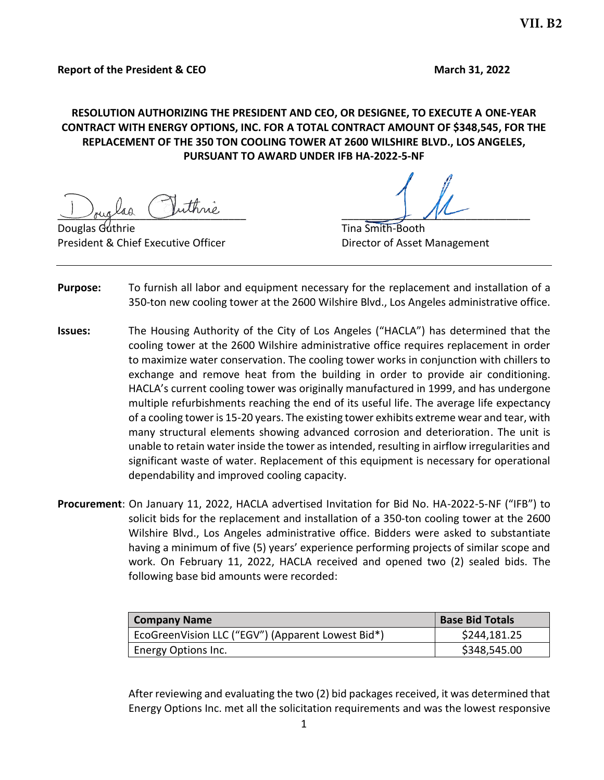# **RESOLUTION AUTHORIZING THE PRESIDENT AND CEO, OR DESIGNEE, TO EXECUTE A ONE-YEAR CONTRACT WITH ENERGY OPTIONS, INC. FOR A TOTAL CONTRACT AMOUNT OF \$348,545, FOR THE REPLACEMENT OF THE 350 TON COOLING TOWER AT 2600 WILSHIRE BLVD., LOS ANGELES, PURSUANT TO AWARD UNDER IFB HA-2022-5-NF**

 $\frac{1}{\sqrt{1-\frac{1}{2}}}\frac{1}{\sqrt{1-\frac{1}{2}}}\frac{1}{\sqrt{1-\frac{1}{2}}}\frac{1}{\sqrt{1-\frac{1}{2}}}\frac{1}{\sqrt{1-\frac{1}{2}}}\frac{1}{\sqrt{1-\frac{1}{2}}}\frac{1}{\sqrt{1-\frac{1}{2}}}\frac{1}{\sqrt{1-\frac{1}{2}}}\frac{1}{\sqrt{1-\frac{1}{2}}}\frac{1}{\sqrt{1-\frac{1}{2}}}\frac{1}{\sqrt{1-\frac{1}{2}}}\frac{1}{\sqrt{1-\frac{1}{2}}}\frac{1}{\sqrt{1-\frac{1}{2}}}\frac{1}{\sqrt{1-\frac{1$ 

**Douglas Guthrie** Tina Smith-Booth President & Chief Executive Officer **Director of Asset Management** 

- **Purpose:** To furnish all labor and equipment necessary for the replacement and installation of a 350-ton new cooling tower at the 2600 Wilshire Blvd., Los Angeles administrative office.
- **Issues:** The Housing Authority of the City of Los Angeles ("HACLA") has determined that the cooling tower at the 2600 Wilshire administrative office requires replacement in order to maximize water conservation. The cooling tower works in conjunction with chillers to exchange and remove heat from the building in order to provide air conditioning. HACLA's current cooling tower was originally manufactured in 1999, and has undergone multiple refurbishments reaching the end of its useful life. The average life expectancy of a cooling tower is 15-20 years. The existing tower exhibits extreme wear and tear, with many structural elements showing advanced corrosion and deterioration. The unit is unable to retain water inside the tower as intended, resulting in airflow irregularities and significant waste of water. Replacement of this equipment is necessary for operational dependability and improved cooling capacity.
- **Procurement**: On January 11, 2022, HACLA advertised Invitation for Bid No. HA-2022-5-NF ("IFB") to solicit bids for the replacement and installation of a 350-ton cooling tower at the 2600 Wilshire Blvd., Los Angeles administrative office. Bidders were asked to substantiate having a minimum of five (5) years' experience performing projects of similar scope and work. On February 11, 2022, HACLA received and opened two (2) sealed bids. The following base bid amounts were recorded:

| <b>Company Name</b>                               | <b>Base Bid Totals</b> |
|---------------------------------------------------|------------------------|
| EcoGreenVision LLC ("EGV") (Apparent Lowest Bid*) | \$244,181.25           |
| Energy Options Inc.                               | \$348,545.00           |

After reviewing and evaluating the two (2) bid packages received, it was determined that Energy Options Inc. met all the solicitation requirements and was the lowest responsive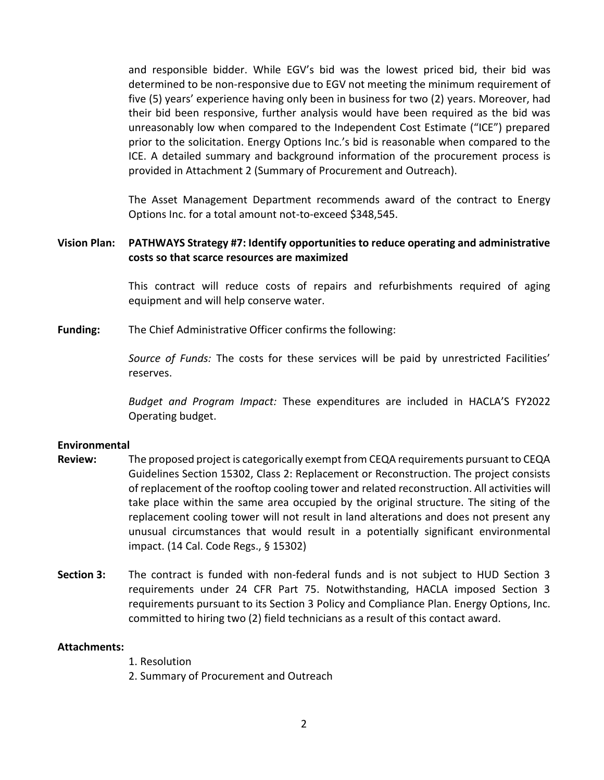and responsible bidder. While EGV's bid was the lowest priced bid, their bid was determined to be non-responsive due to EGV not meeting the minimum requirement of five (5) years' experience having only been in business for two (2) years. Moreover, had their bid been responsive, further analysis would have been required as the bid was unreasonably low when compared to the Independent Cost Estimate ("ICE") prepared prior to the solicitation. Energy Options Inc.'s bid is reasonable when compared to the ICE. A detailed summary and background information of the procurement process is provided in Attachment 2 (Summary of Procurement and Outreach).

The Asset Management Department recommends award of the contract to Energy Options Inc. for a total amount not-to-exceed \$348,545.

### **Vision Plan: PATHWAYS Strategy #7: Identify opportunities to reduce operating and administrative costs so that scarce resources are maximized**

This contract will reduce costs of repairs and refurbishments required of aging equipment and will help conserve water.

**Funding:** The Chief Administrative Officer confirms the following:

*Source of Funds:* The costs for these services will be paid by unrestricted Facilities' reserves.

*Budget and Program Impact:* These expenditures are included in HACLA'S FY2022 Operating budget.

### **Environmental**

- **Review:** The proposed project is categorically exempt from CEQA requirements pursuant to CEQA Guidelines Section 15302, Class 2: Replacement or Reconstruction. The project consists of replacement of the rooftop cooling tower and related reconstruction. All activities will take place within the same area occupied by the original structure. The siting of the replacement cooling tower will not result in land alterations and does not present any unusual circumstances that would result in a potentially significant environmental impact. (14 Cal. Code Regs., § 15302)
- **Section 3:** The contract is funded with non-federal funds and is not subject to HUD Section 3 requirements under 24 CFR Part 75. Notwithstanding, HACLA imposed Section 3 requirements pursuant to its Section 3 Policy and Compliance Plan. Energy Options, Inc. committed to hiring two (2) field technicians as a result of this contact award.

#### **Attachments:**

- 1. Resolution
- 2. Summary of Procurement and Outreach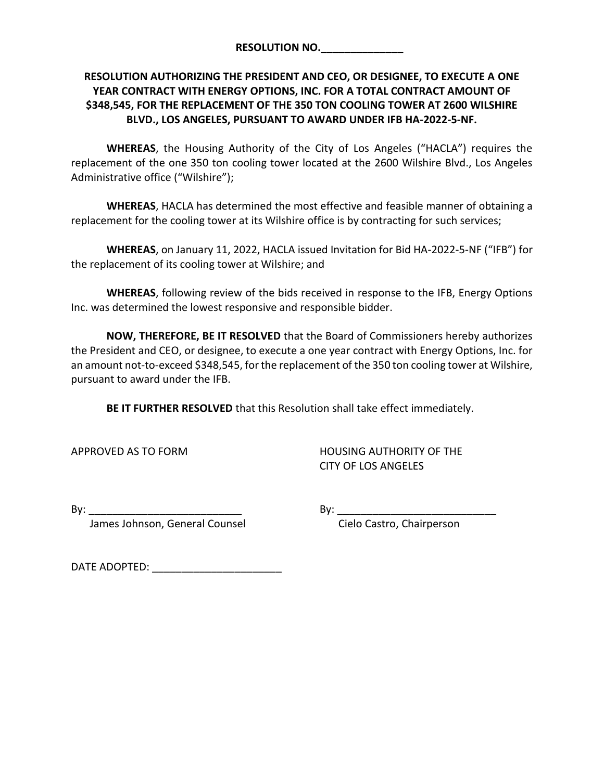| <b>RESOLUTION NO.</b> |  |
|-----------------------|--|
|                       |  |

# **RESOLUTION AUTHORIZING THE PRESIDENT AND CEO, OR DESIGNEE, TO EXECUTE A ONE YEAR CONTRACT WITH ENERGY OPTIONS, INC. FOR A TOTAL CONTRACT AMOUNT OF \$348,545, FOR THE REPLACEMENT OF THE 350 TON COOLING TOWER AT 2600 WILSHIRE BLVD., LOS ANGELES, PURSUANT TO AWARD UNDER IFB HA-2022-5-NF.**

**WHEREAS**, the Housing Authority of the City of Los Angeles ("HACLA") requires the replacement of the one 350 ton cooling tower located at the 2600 Wilshire Blvd., Los Angeles Administrative office ("Wilshire");

**WHEREAS**, HACLA has determined the most effective and feasible manner of obtaining a replacement for the cooling tower at its Wilshire office is by contracting for such services;

**WHEREAS**, on January 11, 2022, HACLA issued Invitation for Bid HA-2022-5-NF ("IFB") for the replacement of its cooling tower at Wilshire; and

**WHEREAS**, following review of the bids received in response to the IFB, Energy Options Inc. was determined the lowest responsive and responsible bidder.

**NOW, THEREFORE, BE IT RESOLVED** that the Board of Commissioners hereby authorizes the President and CEO, or designee, to execute a one year contract with Energy Options, Inc. for an amount not-to-exceed \$348,545, for the replacement of the 350 ton cooling tower at Wilshire, pursuant to award under the IFB.

**BE IT FURTHER RESOLVED** that this Resolution shall take effect immediately.

APPROVED AS TO FORM HOUSING AUTHORITY OF THE CITY OF LOS ANGELES

By: \_\_\_\_\_\_\_\_\_\_\_\_\_\_\_\_\_\_\_\_\_\_\_\_\_\_ By: \_\_\_\_\_\_\_\_\_\_\_\_\_\_\_\_\_\_\_\_\_\_\_\_\_\_\_

James Johnson, General Counsel **Communist Cielo Castro, Chairperson** 

DATE ADOPTED: \_\_\_\_\_\_\_\_\_\_\_\_\_\_\_\_\_\_\_\_\_\_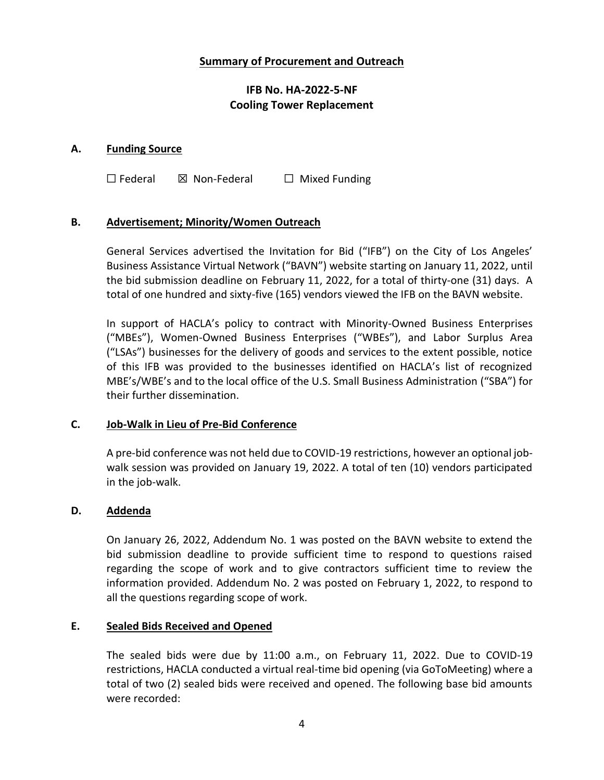# **Summary of Procurement and Outreach**

# **IFB No. HA-2022-5-NF Cooling Tower Replacement**

### **A. Funding Source**

☐ Federal ☒ Non-Federal ☐ Mixed Funding

# **B. Advertisement; Minority/Women Outreach**

General Services advertised the Invitation for Bid ("IFB") on the City of Los Angeles' Business Assistance Virtual Network ("BAVN") website starting on January 11, 2022, until the bid submission deadline on February 11, 2022, for a total of thirty-one (31) days. A total of one hundred and sixty-five (165) vendors viewed the IFB on the BAVN website.

In support of HACLA's policy to contract with Minority-Owned Business Enterprises ("MBEs"), Women-Owned Business Enterprises ("WBEs"), and Labor Surplus Area ("LSAs") businesses for the delivery of goods and services to the extent possible, notice of this IFB was provided to the businesses identified on HACLA's list of recognized MBE's/WBE's and to the local office of the U.S. Small Business Administration ("SBA") for their further dissemination.

### **C. Job-Walk in Lieu of Pre-Bid Conference**

A pre-bid conference was not held due to COVID-19 restrictions, however an optional jobwalk session was provided on January 19, 2022. A total of ten (10) vendors participated in the job-walk.

### **D. Addenda**

On January 26, 2022, Addendum No. 1 was posted on the BAVN website to extend the bid submission deadline to provide sufficient time to respond to questions raised regarding the scope of work and to give contractors sufficient time to review the information provided. Addendum No. 2 was posted on February 1, 2022, to respond to all the questions regarding scope of work.

### **E. Sealed Bids Received and Opened**

The sealed bids were due by 11:00 a.m., on February 11, 2022. Due to COVID-19 restrictions, HACLA conducted a virtual real-time bid opening (via GoToMeeting) where a total of two (2) sealed bids were received and opened. The following base bid amounts were recorded: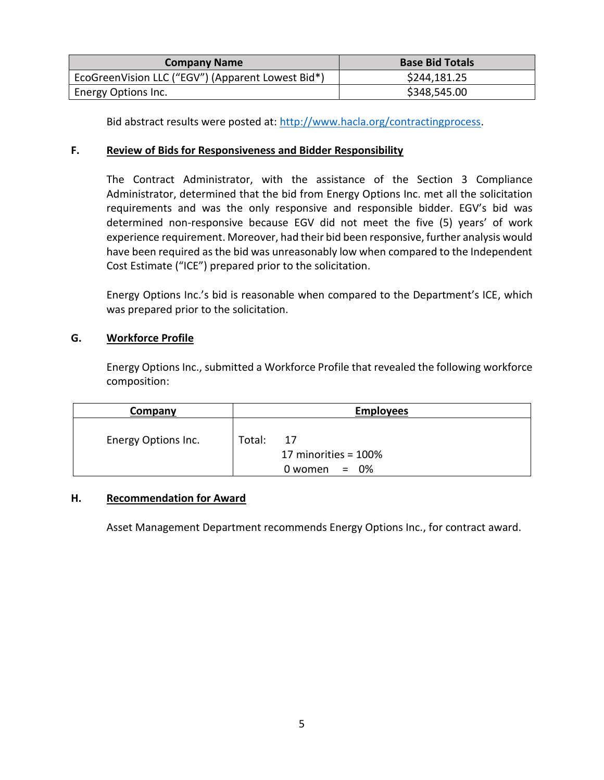| <b>Company Name</b>                               | <b>Base Bid Totals</b> |
|---------------------------------------------------|------------------------|
| EcoGreenVision LLC ("EGV") (Apparent Lowest Bid*) | \$244,181.25           |
| Energy Options Inc.                               | \$348,545.00           |

Bid abstract results were posted at: [http://www.hacla.org/contractingprocess.](http://www.hacla.org/contractingprocess)

# **F. Review of Bids for Responsiveness and Bidder Responsibility**

The Contract Administrator, with the assistance of the Section 3 Compliance Administrator, determined that the bid from Energy Options Inc. met all the solicitation requirements and was the only responsive and responsible bidder. EGV's bid was determined non-responsive because EGV did not meet the five (5) years' of work experience requirement. Moreover, had their bid been responsive, further analysis would have been required as the bid was unreasonably low when compared to the Independent Cost Estimate ("ICE") prepared prior to the solicitation.

Energy Options Inc.'s bid is reasonable when compared to the Department's ICE, which was prepared prior to the solicitation.

# **G. Workforce Profile**

Energy Options Inc., submitted a Workforce Profile that revealed the following workforce composition:

| Company             | <b>Employees</b>                                          |
|---------------------|-----------------------------------------------------------|
| Energy Options Inc. | Total:<br>17<br>17 minorities = 100%<br>$0$ women = $0\%$ |

### **H. Recommendation for Award**

Asset Management Department recommends Energy Options Inc., for contract award.